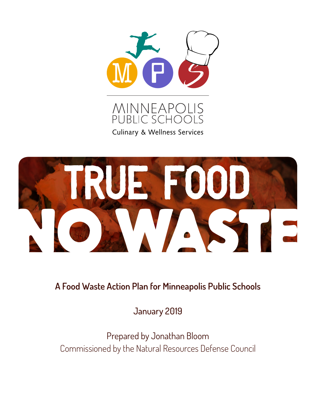

**Culinary & Wellness Services** 



**A Food Waste Action Plan for Minneapolis Public Schools**

January 2019

Prepared by Jonathan Bloom Commissioned by the Natural Resources Defense Council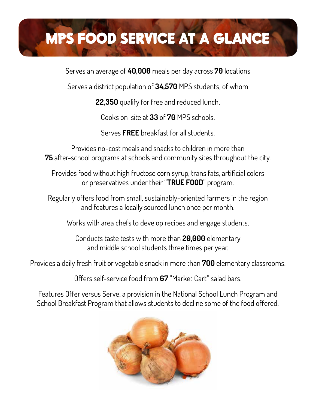# MPS FOOD SERVICE AT A GLANCE

Serves an average of **40,000** meals per day across **70** locations

Serves a district population of **34,570** MPS students, of whom

**22,350** qualify for free and reduced lunch.

Cooks on-site at **33** of **70** MPS schools.

Serves **FREE** breakfast for all students.

Provides no-cost meals and snacks to children in more than **75** after-school programs at schools and community sites throughout the city.

Provides food without high fructose corn syrup, trans fats, artificial colors or preservatives under their "**TRUE FOOD**" program.

Regularly offers food from small, sustainably-oriented farmers in the region and features a locally sourced lunch once per month.

Works with area chefs to develop recipes and engage students.

Conducts taste tests with more than **20,000** elementary and middle school students three times per year.

Provides a daily fresh fruit or vegetable snack in more than **700** elementary classrooms.

Offers self-service food from **67** "Market Cart" salad bars.

Features Offer versus Serve, a provision in the National School Lunch Program and School Breakfast Program that allows students to decline some of the food offered.

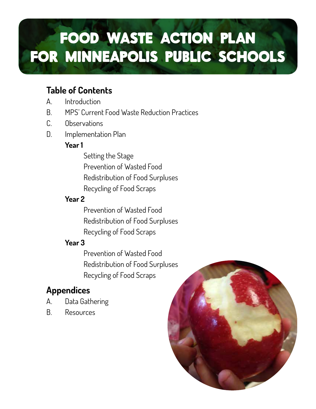# FOOD WASTE ACTION PLAN FOR MINNEAPOLIS PUBLIC SCHOOLS

# **Table of Contents**

- A. Introduction
- B. MPS' Current Food Waste Reduction Practices
- C. Observations
- D. Implementation Plan

### **Year 1**

 Setting the Stage Prevention of Wasted Food Redistribution of Food Surpluses Recycling of Food Scraps

### **Year 2**

 Prevention of Wasted Food Redistribution of Food Surpluses Recycling of Food Scraps

### **Year 3**

 Prevention of Wasted Food Redistribution of Food Surpluses Recycling of Food Scraps

# **Appendices**

- A. Data Gathering
- B. Resources

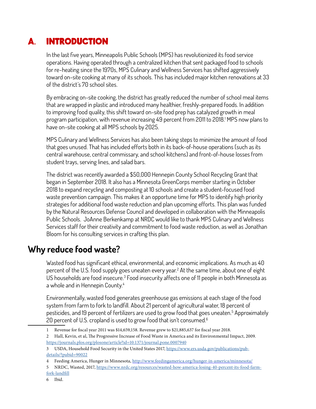# A. INTRODUCTION

In the last five years, Minneapolis Public Schools (MPS) has revolutionized its food service operations. Having operated through a centralized kitchen that sent packaged food to schools for re-heating since the 1970s, MPS Culinary and Wellness Services has shifted aggressively toward on-site cooking at many of its schools. This has included major kitchen renovations at 33 of the district's 70 school sites.

By embracing on-site cooking, the district has greatly reduced the number of school meal items that are wrapped in plastic and introduced many healthier, freshly-prepared foods. In addition to improving food quality, this shift toward on-site food prep has catalyzed growth in meal program participation, with revenue increasing 49 percent from 2011 to 2018.1 MPS now plans to have on-site cooking at all MPS schools by 2025.

MPS Culinary and Wellness Services has also been taking steps to minimize the amount of food that goes unused. That has included efforts both in its back-of-house operations (such as its central warehouse, central commissary, and school kitchens) and front-of-house losses from student trays, serving lines, and salad bars.

The district was recently awarded a \$50,000 Hennepin County School Recycling Grant that began in September 2018. It also has a Minnesota GreenCorps member starting in October 2018 to expand recycling and composting at 10 schools and create a student-focused food waste prevention campaign. This makes it an opportune time for MPS to identify high priority strategies for additional food waste reduction and plan upcoming efforts. This plan was funded by the Natural Resources Defense Council and developed in collaboration with the Minneapolis Public Schools. JoAnne Berkenkamp at NRDC would like to thank MPS Culinary and Wellness Services staff for their creativity and commitment to food waste reduction, as well as Jonathan Bloom for his consulting services in crafting this plan.

### **Why reduce food waste?**

Wasted food has significant ethical, environmental, and economic implications. As much as 40 percent of the U.S. food supply goes uneaten every year.<sup>2</sup> At the same time, about one of eight US households are food insecure.<sup>3</sup> Food insecurity affects one of 11 people in both Minnesota as a whole and in Hennepin County.<sup>4</sup>

Environmentally, wasted food generates greenhouse gas emissions at each stage of the food system from farm to fork to landfill. About 21 percent of agricultural water, 18 percent of pesticides, and 19 percent of fertilizers are used to grow food that goes uneaten.<sup>5</sup> Approximately 20 percent of U.S. cropland is used to grow food that isn't consumed.<sup>6</sup>

<sup>1</sup> Revenue for fiscal year 2011 was \$14,659,158. Revenue grew to \$21,885,637 for fiscal year 2018.

<sup>2</sup> Hall, Kevin, et al, The Progressive Increase of Food Waste in America and its Environmental Impact, 2009. https://journals.plos.org/plosone/article?id=10.1371/journal.pone.0007940

<sup>3</sup> USDA, Household Food Security in the United States 2017, https://www.ers.usda.gov/publications/pubdetails/?pubid=90022

<sup>4</sup> Feeding America, Hunger in Minnesota, http://www.feedingamerica.org/hunger-in-america/minnesota/

<sup>5</sup> NRDC, Wasted, 2017, https://www.nrdc.org/resources/wasted-how-america-losing-40-percent-its-food-farmfork-landfill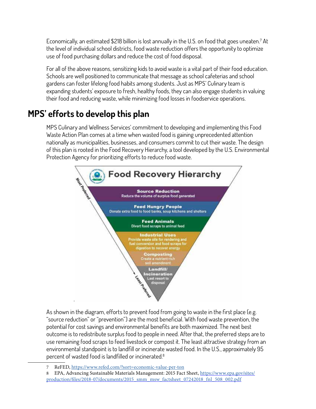Economically, an estimated \$218 billion is lost annually in the U.S. on food that goes uneaten.7 At the level of individual school districts, food waste reduction offers the opportunity to optimize use of food purchasing dollars and reduce the cost of food disposal.

For all of the above reasons, sensitizing kids to avoid waste is a vital part of their food education. Schools are well positioned to communicate that message as school cafeterias and school gardens can foster lifelong food habits among students. Just as MPS' Culinary team is expanding students' exposure to fresh, healthy foods, they can also engage students in valuing their food and reducing waste, while minimizing food losses in foodservice operations.

# **MPS' efforts to develop this plan**

MPS Culinary and Wellness Services' commitment to developing and implementing this Food Waste Action Plan comes at a time when wasted food is gaining unprecedented attention nationally as municipalities, businesses, and consumers commit to cut their waste. The design of this plan is rooted in the Food Recovery Hierarchy, a tool developed by the U.S. Environmental Protection Agency for prioritizing efforts to reduce food waste.



As shown in the diagram, efforts to prevent food from going to waste in the first place (e.g. "source reduction" or "prevention") are the most beneficial. With food waste prevention, the potential for cost savings and environmental benefits are both maximized. The next best outcome is to redistribute surplus food to people in need. After that, the preferred steps are to use remaining food scraps to feed livestock or compost it. The least attractive strategy from an environmental standpoint is to landfill or incinerate wasted food. In the U.S., approximately 95 percent of wasted food is landfilled or incinerated.8

<sup>7</sup> ReFED, https://www.refed.com/?sort=economic-value-per-ton

<sup>8</sup> EPA, Advancing Sustainable Materials Management: 2015 Fact Sheet, https://www.epa.gov/sites/ production/files/2018-07/documents/2015\_smm\_msw\_factsheet\_07242018\_fnl\_508\_002.pdf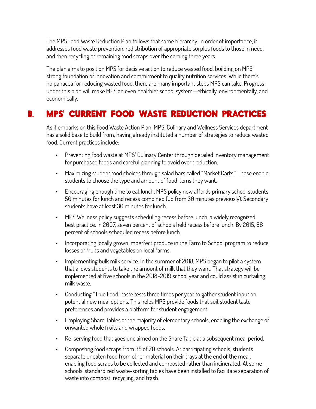The MPS Food Waste Reduction Plan follows that same hierarchy. In order of importance, it addresses food waste prevention, redistribution of appropriate surplus foods to those in need, and then recycling of remaining food scraps over the coming three years.

The plan aims to position MPS for decisive action to reduce wasted food, building on MPS' strong foundation of innovation and commitment to quality nutrition services. While there's no panacea for reducing wasted food, there are many important steps MPS can take. Progress under this plan will make MPS an even healthier school system—ethically, environmentally, and economically.

# B. MPS' CURRENT FOOD WASTE REDUCTION PRACTICES

As it embarks on this Food Waste Action Plan, MPS' Culinary and Wellness Services department has a solid base to build from, having already instituted a number of strategies to reduce wasted food. Current practices include:

- Preventing food waste at MPS' Culinary Center through detailed inventory management for purchased foods and careful planning to avoid overproduction.
- Maximizing student food choices through salad bars called "Market Carts." These enable students to choose the type and amount of food items they want.
- Encouraging enough time to eat lunch. MPS policy now affords primary school students 50 minutes for lunch and recess combined (up from 30 minutes previously). Secondary students have at least 30 minutes for lunch.
- MPS Wellness policy suggests scheduling recess before lunch, a widely recognized best practice. In 2007, seven percent of schools held recess before lunch. By 2015, 66 percent of schools scheduled recess before lunch.
- Incorporating locally grown imperfect produce in the Farm to School program to reduce losses of fruits and vegetables on local farms.
- Implementing bulk milk service. In the summer of 2018, MPS began to pilot a system that allows students to take the amount of milk that they want. That strategy will be implemented at five schools in the 2018-2019 school year and could assist in curtailing milk waste.
- Conducting "True Food" taste tests three times per year to gather student input on potential new meal options. This helps MPS provide foods that suit student taste preferences and provides a platform for student engagement.
- Employing Share Tables at the majority of elementary schools, enabling the exchange of unwanted whole fruits and wrapped foods.
- Re-serving food that goes unclaimed on the Share Table at a subsequent meal period.
- Composting food scraps from 35 of 70 schools. At participating schools, students separate uneaten food from other material on their trays at the end of the meal, enabling food scraps to be collected and composted rather than incinerated. At some schools, standardized waste-sorting tables have been installed to facilitate separation of waste into compost, recycling, and trash.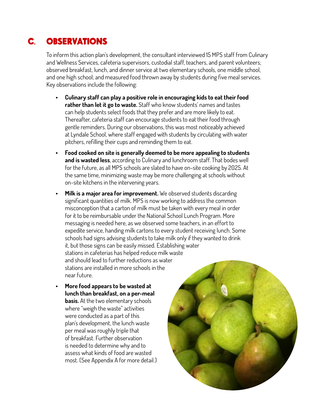# C. OBSERVATIONS

To inform this action plan's development, the consultant interviewed 15 MPS staff from Culinary and Wellness Services, cafeteria supervisors, custodial staff, teachers, and parent volunteers; observed breakfast, lunch, and dinner service at two elementary schools, one middle school, and one high school; and measured food thrown away by students during five meal services. Key observations include the following:

- **• Culinary staff can play a positive role in encouraging kids to eat their food rather than let it go to waste.** Staff who know students' names and tastes can help students select foods that they prefer and are more likely to eat. Thereafter, cafeteria staff can encourage students to eat their food through gentle reminders. During our observations, this was most noticeably achieved at Lyndale School, where staff engaged with students by circulating with water pitchers, refilling their cups and reminding them to eat.
- **• Food cooked on site is generally deemed to be more appealing to students and is wasted less**, according to Culinary and lunchroom staff. That bodes well for the future, as all MPS schools are slated to have on-site cooking by 2025. At the same time, minimizing waste may be more challenging at schools without on-site kitchens in the intervening years.
- **• Milk is a major area for improvement.** We observed students discarding significant quantities of milk. MPS is now working to address the common misconception that a carton of milk must be taken with every meal in order for it to be reimbursable under the National School Lunch Program. More messaging is needed here, as we observed some teachers, in an effort to expedite service, handing milk cartons to every student receiving lunch. Some schools had signs advising students to take milk only if they wanted to drink it, but those signs can be easily missed. Establishing water stations in cafeterias has helped reduce milk waste and should lead to further reductions as water stations are installed in more schools in the near future.
- **• More food appears to be wasted at lunch than breakfast, on a per-meal basis.** At the two elementary schools where "weigh the waste" activities were conducted as a part of this plan's development, the lunch waste per meal was roughly triple that of breakfast. Further observation is needed to determine why and to assess what kinds of food are wasted most. (See Appendix A for more detail.)

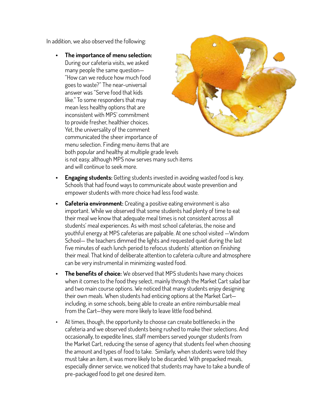In addition, we also observed the following:

**• The importance of menu selection:** During our cafeteria visits, we asked many people the same question— "How can we reduce how much food goes to waste?" The near-universal answer was "Serve food that kids like." To some responders that may mean less healthy options that are inconsistent with MPS' commitment to provide fresher, healthier choices. Yet, the universality of the comment communicated the sheer importance of menu selection. Finding menu items that are both popular and healthy at multiple grade levels is not easy, although MPS now serves many such items and will continue to seek more.



- **• Engaging students:** Getting students invested in avoiding wasted food is key. Schools that had found ways to communicate about waste prevention and empower students with more choice had less food waste.
- **Cafeteria environment:** Creating a positive eating environment is also important. While we observed that some students had plenty of time to eat their meal we know that adequate meal times is not consistent across all students' meal experiences. As with most school cafeterias, the noise and youthful energy at MPS cafeterias are palpable. At one school visited —Windom School— the teachers dimmed the lights and requested quiet during the last five minutes of each lunch period to refocus students' attention on finishing their meal. That kind of deliberate attention to cafeteria culture and atmosphere can be very instrumental in minimizing wasted food.
- **• The benefits of choice:** We observed that MPS students have many choices when it comes to the food they select, mainly through the Market Cart salad bar and two main course options. We noticed that many students enjoy designing their own meals. When students had enticing options at the Market Cart including, in some schools, being able to create an entire reimbursable meal from the Cart—they were more likely to leave little food behind.
- At times, though, the opportunity to choose can create bottlenecks in the cafeteria and we observed students being rushed to make their selections. And occasionally, to expedite lines, staff members served younger students from the Market Cart, reducing the sense of agency that students feel when choosing the amount and types of food to take. Similarly, when students were told they must take an item, it was more likely to be discarded. With prepacked meals, especially dinner service, we noticed that students may have to take a bundle of pre-packaged food to get one desired item.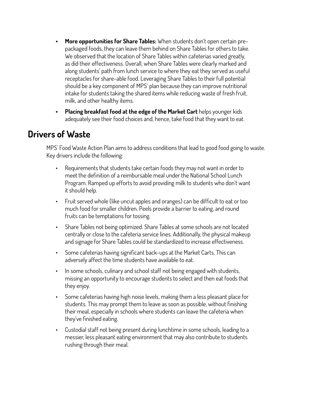- **• More opportunities for Share Tables:** When students don't open certain prepackaged foods, they can leave them behind on Share Tables for others to take. We observed that the location of Share Tables within cafeterias varied greatly, as did their effectiveness. Overall, when Share Tables were clearly marked and along students' path from lunch service to where they eat they served as useful receptacles for share-able food. Leveraging Share Tables to their full potential should be a key component of MPS' plan because they can improve nutritional intake for students taking the shared items while reducing waste of fresh fruit, milk, and other healthy items.
- **• Placing breakfast food at the edge of the Market Cart** helps younger kids adequately see their food choices and, hence, take food that they want to eat.

### **Drivers of Waste**

MPS' Food Waste Action Plan aims to address conditions that lead to good food going to waste. Key drivers include the following:

- Requirements that students take certain foods they may not want in order to meet the definition of a reimbursable meal under the National School Lunch Program. Ramped up efforts to avoid providing milk to students who don't want it should help.
- Fruit served whole (like uncut apples and oranges) can be difficult to eat or too much food for smaller children. Peels provide a barrier to eating, and round fruits can be temptations for tossing.
- Share Tables not being optimized. Share Tables at some schools are not located centrally or close to the cafeteria service lines. Additionally, the physical makeup and signage for Share Tables could be standardized to increase effectiveness.
- Some cafeterias having significant back-ups at the Market Carts. This can adversely affect the time students have available to eat.
- In some schools, culinary and school staff not being engaged with students, missing an opportunity to encourage students to select and then eat foods that they enjoy.
- Some cafeterias having high noise levels, making them a less pleasant place for students. This may prompt them to leave as soon as possible, without finishing their meal, especially in schools where students can leave the cafeteria when they've finished eating.
- Custodial staff not being present during lunchtime in some schools, leading to a messier, less pleasant eating environment that may also contribute to students rushing through their meal.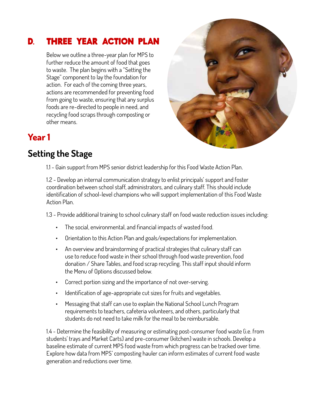## D. THREE YEAR ACTION PLAN

Below we outline a three-year plan for MPS to further reduce the amount of food that goes to waste. The plan begins with a "Setting the Stage" component to lay the foundation for action. For each of the coming three years, actions are recommended for preventing food from going to waste, ensuring that any surplus foods are re-directed to people in need, and recycling food scraps through composting or other means.



### **Year 1**

# **Setting the Stage**

1.1 - Gain support from MPS senior district leadership for this Food Waste Action Plan.

1.2 - Develop an internal communication strategy to enlist principals' support and foster coordination between school staff, administrators, and culinary staff. This should include identification of school-level champions who will support implementation of this Food Waste Action Plan.

1.3 - Provide additional training to school culinary staff on food waste reduction issues including:

- The social, environmental, and financial impacts of wasted food.
- Orientation to this Action Plan and goals/expectations for implementation.
- An overview and brainstorming of practical strategies that culinary staff can use to reduce food waste in their school through food waste prevention, food donation / Share Tables, and food scrap recycling. This staff input should inform the Menu of Options discussed below.
- Correct portion sizing and the importance of not over-serving.
- Identification of age-appropriate cut sizes for fruits and vegetables.
- Messaging that staff can use to explain the National School Lunch Program requirements to teachers, cafeteria volunteers, and others, particularly that students do not need to take milk for the meal to be reimbursable.

1.4 - Determine the feasibility of measuring or estimating post-consumer food waste (i.e. from students' trays and Market Carts) and pre-consumer (kitchen) waste in schools. Develop a baseline estimate of current MPS food waste from which progress can be tracked over time. Explore how data from MPS' composting hauler can inform estimates of current food waste generation and reductions over time.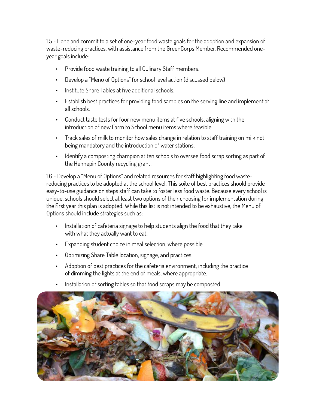1.5 - Hone and commit to a set of one-year food waste goals for the adoption and expansion of waste-reducing practices, with assistance from the GreenCorps Member. Recommended oneyear goals include:

- Provide food waste training to all Culinary Staff members.
- Develop a "Menu of Options" for school level action (discussed below)
- Institute Share Tables at five additional schools.
- Establish best practices for providing food samples on the serving line and implement at all schools.
- Conduct taste tests for four new menu items at five schools, aligning with the introduction of new Farm to School menu items where feasible.
- Track sales of milk to monitor how sales change in relation to staff training on milk not being mandatory and the introduction of water stations.
- Identify a composting champion at ten schools to oversee food scrap sorting as part of the Hennepin County recycling grant.

1.6 - Develop a "Menu of Options" and related resources for staff highlighting food wastereducing practices to be adopted at the school level. This suite of best practices should provide easy-to-use guidance on steps staff can take to foster less food waste. Because every school is unique, schools should select at least two options of their choosing for implementation during the first year this plan is adopted. While this list is not intended to be exhaustive, the Menu of Options should include strategies such as:

- Installation of cafeteria signage to help students align the food that they take with what they actually want to eat.
- Expanding student choice in meal selection, where possible.
- Optimizing Share Table location, signage, and practices.
- Adoption of best practices for the cafeteria environment, including the practice of dimming the lights at the end of meals, where appropriate.
- Installation of sorting tables so that food scraps may be composted.

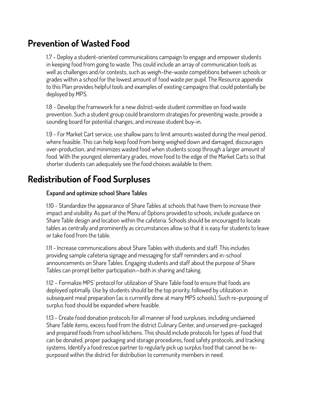### **Prevention of Wasted Food**

1.7 - Deploy a student-oriented communications campaign to engage and empower students in keeping food from going to waste. This could include an array of communication tools as well as challenges and/or contests, such as weigh-the-waste competitions between schools or grades within a school for the lowest amount of food waste per pupil. The Resource appendix to this Plan provides helpful tools and examples of existing campaigns that could potentially be deployed by MPS.

1.8 - Develop the framework for a new district-wide student committee on food waste prevention. Such a student group could brainstorm strategies for preventing waste, provide a sounding board for potential changes, and increase student buy-in.

1.9 - For Market Cart service, use shallow pans to limit amounts wasted during the meal period, where feasible. This can help keep food from being weighed down and damaged, discourages over-production, and minimizes wasted food when students scoop through a larger amount of food. With the youngest elementary grades, move food to the edge of the Market Carts so that shorter students can adequately see the food choices available to them.

### **Redistribution of Food Surpluses**

#### **Expand and optimize school Share Tables**

1.10 - Standardize the appearance of Share Tables at schools that have them to increase their impact and visibility. As part of the Menu of Options provided to schools, include guidance on Share Table design and location within the cafeteria. Schools should be encouraged to locate tables as centrally and prominently as circumstances allow so that it is easy for students to leave or take food from the table.

1.11 - Increase communications about Share Tables with students and staff. This includes providing sample cafeteria signage and messaging for staff reminders and in-school announcements on Share Tables. Engaging students and staff about the purpose of Share Tables can prompt better participation—both in sharing and taking.

1.12 – Formalize MPS' protocol for utilization of Share Table food to ensure that foods are deployed optimally. Use by students should be the top priority, followed by utilization in subsequent meal preparation (as is currently done at many MPS schools). Such re-purposing of surplus food should be expanded where feasible.

1.13 - Create food donation protocols for all manner of food surpluses, including unclaimed Share Table items, excess food from the district Culinary Center, and unserved pre-packaged and prepared foods from school kitchens. This should include protocols for types of food that can be donated, proper packaging and storage procedures, food safety protocols, and tracking systems. Identify a food rescue partner to regularly pick up surplus food that cannot be repurposed within the district for distribution to community members in need.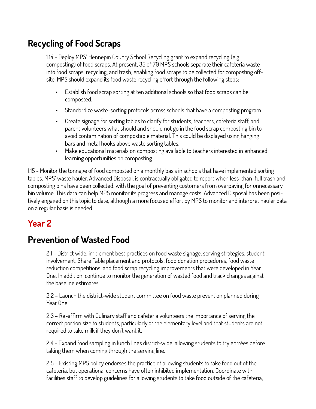# **Recycling of Food Scraps**

1.14 - Deploy MPS' Hennepin County School Recycling grant to expand recycling (e.g. composting) of food scraps. At present**,** 35 of 70 MPS schools separate their cafeteria waste into food scraps, recycling, and trash, enabling food scraps to be collected for composting offsite. MPS should expand its food waste recycling effort through the following steps:

- Establish food scrap sorting at ten additional schools so that food scraps can be composted.
- Standardize waste-sorting protocols across schools that have a composting program.
- Create signage for sorting tables to clarify for students, teachers, cafeteria staff, and parent volunteers what should and should not go in the food scrap composting bin to avoid contamination of compostable material. This could be displayed using hanging bars and metal hooks above waste sorting tables.
- Make educational materials on composting available to teachers interested in enhanced learning opportunities on composting.

1.15 - Monitor the tonnage of food composted on a monthly basis in schools that have implemented sorting tables. MPS' waste hauler, Advanced Disposal, is contractually obligated to report when less-than-full trash and composting bins have been collected, with the goal of preventing customers from overpaying for unnecessary bin volume. This data can help MPS monitor its progress and manage costs. Advanced Disposal has been positively engaged on this topic to date, although a more focused effort by MPS to monitor and interpret hauler data on a regular basis is needed.

# **Year 2**

## **Prevention of Wasted Food**

2.1 – District wide, implement best practices on food waste signage, serving strategies, student involvement, Share Table placement and protocols, food donation procedures, food waste reduction competitions, and food scrap recycling improvements that were developed in Year One. In addition, continue to monitor the generation of wasted food and track changes against the baseline estimates.

2.2 – Launch the district-wide student committee on food waste prevention planned during Year One.

2.3 – Re-affirm with Culinary staff and cafeteria volunteers the importance of serving the correct portion size to students, particularly at the elementary level and that students are not required to take milk if they don't want it.

2.4 - Expand food sampling in lunch lines district-wide, allowing students to try entrées before taking them when coming through the serving line.

2.5 – Existing MPS policy endorses the practice of allowing students to take food out of the cafeteria, but operational concerns have often inhibited implementation. Coordinate with facilities staff to develop guidelines for allowing students to take food outside of the cafeteria,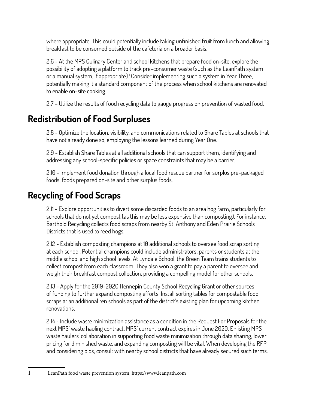where appropriate. This could potentially include taking unfinished fruit from lunch and allowing breakfast to be consumed outside of the cafeteria on a broader basis.

2.6 - At the MPS Culinary Center and school kitchens that prepare food on-site, explore the possibility of adopting a platform to track pre-consumer waste (such as the LeanPath system or a manual system, if appropriate).<sup>1</sup> Consider implementing such a system in Year Three, potentially making it a standard component of the process when school kitchens are renovated to enable on-site cooking.

2.7 – Utilize the results of food recycling data to gauge progress on prevention of wasted food.

# **Redistribution of Food Surpluses**

2.8 - Optimize the location, visibility, and communications related to Share Tables at schools that have not already done so, employing the lessons learned during Year One.

2.9 - Establish Share Tables at all additional schools that can support them, identifying and addressing any school-specific policies or space constraints that may be a barrier.

2.10 - Implement food donation through a local food rescue partner for surplus pre-packaged foods, foods prepared on-site and other surplus foods.

# **Recycling of Food Scraps**

2.11 - Explore opportunities to divert some discarded foods to an area hog farm, particularly for schools that do not yet compost (as this may be less expensive than composting). For instance, Barthold Recycling collects food scraps from nearby St. Anthony and Eden Prairie Schools Districts that is used to feed hogs.

2.12 - Establish composting champions at 10 additional schools to oversee food scrap sorting at each school. Potential champions could include administrators, parents or students at the middle school and high school levels. At Lyndale School, the Green Team trains students to collect compost from each classroom. They also won a grant to pay a parent to oversee and weigh their breakfast compost collection, providing a compelling model for other schools.

2.13 - Apply for the 2019-2020 Hennepin County School Recycling Grant or other sources of funding to further expand composting efforts. Install sorting tables for compostable food scraps at an additional ten schools as part of the district's existing plan for upcoming kitchen renovations.

2.14 - Include waste minimization assistance as a condition in the Request For Proposals for the next MPS' waste hauling contract. MPS' current contract expires in June 2020. Enlisting MPS waste haulers' collaboration in supporting food waste minimization through data sharing, lower pricing for diminished waste, and expanding composting will be vital. When developing the RFP and considering bids, consult with nearby school districts that have already secured such terms.

- 
- 1 LeanPath food waste prevention system, https://www.leanpath.com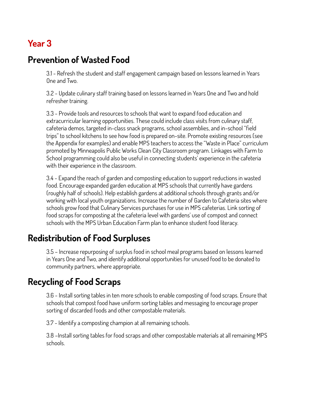# **Year 3**

## **Prevention of Wasted Food**

3.1 - Refresh the student and staff engagement campaign based on lessons learned in Years One and Two.

3.2 - Update culinary staff training based on lessons learned in Years One and Two and hold refresher training.

3.3 - Provide tools and resources to schools that want to expand food education and extracurricular learning opportunities. These could include class visits from culinary staff, cafeteria demos, targeted in-class snack programs, school assemblies, and in-school "field trips" to school kitchens to see how food is prepared on-site. Promote existing resources (see the Appendix for examples) and enable MPS teachers to access the "Waste in Place" curriculum promoted by Minneapolis Public Works Clean City Classroom program. Linkages with Farm to School programming could also be useful in connecting students' experience in the cafeteria with their experience in the classroom.

3.4 - Expand the reach of garden and composting education to support reductions in wasted food. Encourage expanded garden education at MPS schools that currently have gardens (roughly half of schools). Help establish gardens at additional schools through grants and/or working with local youth organizations. Increase the number of Garden to Cafeteria sites where schools grow food that Culinary Services purchases for use in MPS cafeterias. Link sorting of food scraps for composting at the cafeteria level with gardens' use of compost and connect schools with the MPS Urban Education Farm plan to enhance student food literacy.

## **Redistribution of Food Surpluses**

3.5 – Increase repurposing of surplus food in school meal programs based on lessons learned in Years One and Two, and identify additional opportunities for unused food to be donated to community partners, where appropriate.

# **Recycling of Food Scraps**

3.6 - Install sorting tables in ten more schools to enable composting of food scraps. Ensure that schools that compost food have uniform sorting tables and messaging to encourage proper sorting of discarded foods and other compostable materials.

3.7 - Identify a composting champion at all remaining schools.

3.8 –Install sorting tables for food scraps and other compostable materials at all remaining MPS schools.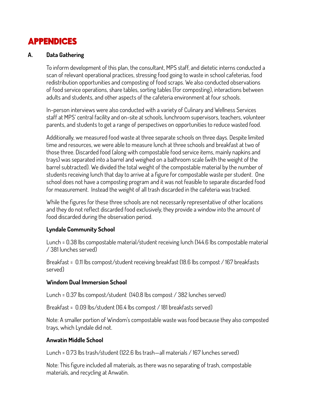## APPENDICES

#### **A. Data Gathering**

To inform development of this plan, the consultant, MPS staff, and dietetic interns conducted a scan of relevant operational practices, stressing food going to waste in school cafeterias, food redistribution opportunities and composting of food scraps. We also conducted observations of food service operations, share tables, sorting tables (for composting), interactions between adults and students, and other aspects of the cafeteria environment at four schools.

In-person interviews were also conducted with a variety of Culinary and Wellness Services staff at MPS' central facility and on-site at schools, lunchroom supervisors, teachers, volunteer parents, and students to get a range of perspectives on opportunities to reduce wasted food.

Additionally, we measured food waste at three separate schools on three days. Despite limited time and resources, we were able to measure lunch at three schools and breakfast at two of those three. Discarded food (along with compostable food service items, mainly napkins and trays) was separated into a barrel and weighed on a bathroom scale (with the weight of the barrel subtracted). We divided the total weight of the compostable material by the number of students receiving lunch that day to arrive at a figure for compostable waste per student. One school does not have a composting program and it was not feasible to separate discarded food for measurement. Instead the weight of all trash discarded in the cafeteria was tracked.

While the figures for these three schools are not necessarily representative of other locations and they do not reflect discarded food exclusively, they provide a window into the amount of food discarded during the observation period.

#### **Lyndale Community School**

Lunch = 0.38 lbs compostable material/student receiving lunch (144.6 lbs compostable material / 381 lunches served)

Breakfast = 0.11 lbs compost/student receiving breakfast (18.6 lbs compost / 167 breakfasts served)

#### **Windom Dual Immersion School**

Lunch = 0.37 lbs compost/student (140.8 lbs compost / 382 lunches served)

Breakfast = 0.09 lbs/student (16.4 lbs compost / 181 breakfasts served)

Note: A smaller portion of Windom's compostable waste was food because they also composted trays, which Lyndale did not.

#### **Anwatin Middle School**

Lunch = 0.73 lbs trash/student (122.6 lbs trash—all materials / 167 lunches served)

Note: This figure included all materials, as there was no separating of trash, compostable materials, and recycling at Anwatin.